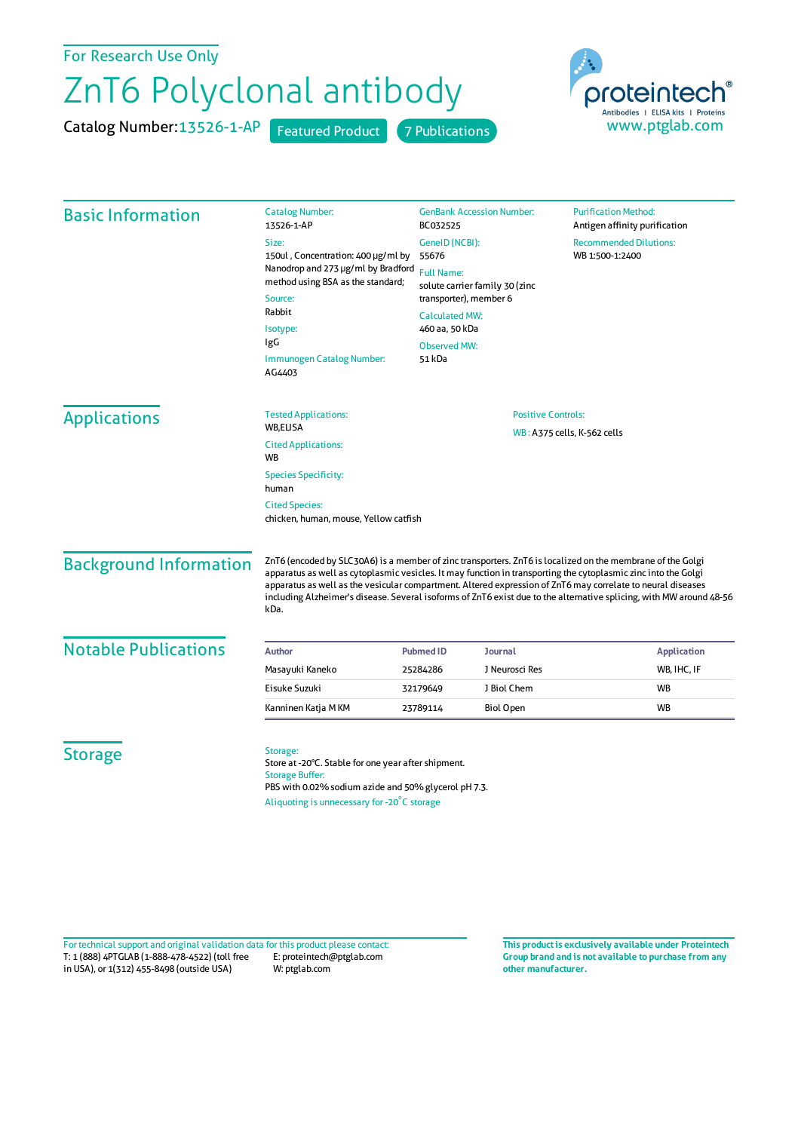## For Research Use Only

## ZnT6 Polyclonal antibody

Catalog Number: 13526-1-AP Featured Product 7 Publications



| <b>Basic Information</b>                                                                               | <b>Catalog Number:</b><br>13526-1-AP                                                                                                                                                             | <b>GenBank Accession Number:</b><br><b>Purification Method:</b><br>BC032525<br><b>Recommended Dilutions:</b><br>GenelD (NCBI):<br>55676<br>WB 1:500-1:2400<br><b>Full Name:</b><br>solute carrier family 30 (zinc<br>transporter), member 6 |                                                          | Antigen affinity purification |                                                                                                                                                                                                                                                                                                                                                                                                                                                                            |                     |  |  |  |
|--------------------------------------------------------------------------------------------------------|--------------------------------------------------------------------------------------------------------------------------------------------------------------------------------------------------|---------------------------------------------------------------------------------------------------------------------------------------------------------------------------------------------------------------------------------------------|----------------------------------------------------------|-------------------------------|----------------------------------------------------------------------------------------------------------------------------------------------------------------------------------------------------------------------------------------------------------------------------------------------------------------------------------------------------------------------------------------------------------------------------------------------------------------------------|---------------------|--|--|--|
|                                                                                                        | Size:                                                                                                                                                                                            |                                                                                                                                                                                                                                             |                                                          |                               |                                                                                                                                                                                                                                                                                                                                                                                                                                                                            |                     |  |  |  |
|                                                                                                        | 150ul, Concentration: 400 µg/ml by<br>Nanodrop and 273 µg/ml by Bradford<br>method using BSA as the standard;<br>Source:<br>Rabbit<br>Isotype:                                                   |                                                                                                                                                                                                                                             |                                                          |                               |                                                                                                                                                                                                                                                                                                                                                                                                                                                                            |                     |  |  |  |
|                                                                                                        |                                                                                                                                                                                                  |                                                                                                                                                                                                                                             |                                                          |                               |                                                                                                                                                                                                                                                                                                                                                                                                                                                                            |                     |  |  |  |
|                                                                                                        |                                                                                                                                                                                                  |                                                                                                                                                                                                                                             |                                                          |                               |                                                                                                                                                                                                                                                                                                                                                                                                                                                                            |                     |  |  |  |
|                                                                                                        |                                                                                                                                                                                                  | <b>Calculated MW:</b><br>460 aa, 50 kDa                                                                                                                                                                                                     |                                                          |                               |                                                                                                                                                                                                                                                                                                                                                                                                                                                                            |                     |  |  |  |
|                                                                                                        |                                                                                                                                                                                                  |                                                                                                                                                                                                                                             |                                                          |                               | IgG                                                                                                                                                                                                                                                                                                                                                                                                                                                                        | <b>Observed MW:</b> |  |  |  |
|                                                                                                        | Immunogen Catalog Number:<br>AG4403                                                                                                                                                              | 51 kDa                                                                                                                                                                                                                                      |                                                          |                               |                                                                                                                                                                                                                                                                                                                                                                                                                                                                            |                     |  |  |  |
|                                                                                                        | <b>Applications</b>                                                                                                                                                                              | <b>Tested Applications:</b>                                                                                                                                                                                                                 | <b>Positive Controls:</b><br>WB: A375 cells, K-562 cells |                               |                                                                                                                                                                                                                                                                                                                                                                                                                                                                            |                     |  |  |  |
| <b>WB,ELISA</b>                                                                                        |                                                                                                                                                                                                  |                                                                                                                                                                                                                                             |                                                          |                               |                                                                                                                                                                                                                                                                                                                                                                                                                                                                            |                     |  |  |  |
| <b>Cited Applications:</b><br><b>WB</b>                                                                |                                                                                                                                                                                                  |                                                                                                                                                                                                                                             |                                                          |                               |                                                                                                                                                                                                                                                                                                                                                                                                                                                                            |                     |  |  |  |
| <b>Species Specificity:</b><br>human<br><b>Cited Species:</b><br>chicken, human, mouse, Yellow catfish |                                                                                                                                                                                                  |                                                                                                                                                                                                                                             |                                                          |                               |                                                                                                                                                                                                                                                                                                                                                                                                                                                                            |                     |  |  |  |
|                                                                                                        |                                                                                                                                                                                                  |                                                                                                                                                                                                                                             |                                                          | <b>Background Information</b> | ZnT6 (encoded by SLC30A6) is a member of zinc transporters. ZnT6 is localized on the membrane of the Golgi<br>apparatus as well as cytoplasmic vesicles. It may function in transporting the cytoplasmic zinc into the Golgi<br>apparatus as well as the vesicular compartment. Altered expression of ZnT6 may correlate to neural diseases<br>including Alzheimer's disease. Several isoforms of ZnT6 exist due to the alternative splicing, with MW around 48-56<br>kDa. |                     |  |  |  |
|                                                                                                        |                                                                                                                                                                                                  |                                                                                                                                                                                                                                             |                                                          |                               |                                                                                                                                                                                                                                                                                                                                                                                                                                                                            |                     |  |  |  |
| <b>Notable Publications</b>                                                                            | Author                                                                                                                                                                                           | <b>Pubmed ID</b>                                                                                                                                                                                                                            | <b>Journal</b>                                           | <b>Application</b>            |                                                                                                                                                                                                                                                                                                                                                                                                                                                                            |                     |  |  |  |
|                                                                                                        | Masayuki Kaneko                                                                                                                                                                                  | 25284286                                                                                                                                                                                                                                    | J Neurosci Res                                           | WB, IHC, IF                   |                                                                                                                                                                                                                                                                                                                                                                                                                                                                            |                     |  |  |  |
|                                                                                                        | Eisuke Suzuki                                                                                                                                                                                    | 32179649                                                                                                                                                                                                                                    | J Biol Chem                                              | WB                            |                                                                                                                                                                                                                                                                                                                                                                                                                                                                            |                     |  |  |  |
|                                                                                                        | Kanninen Katja M KM                                                                                                                                                                              | 23789114                                                                                                                                                                                                                                    | <b>Biol Open</b>                                         | <b>WB</b>                     |                                                                                                                                                                                                                                                                                                                                                                                                                                                                            |                     |  |  |  |
|                                                                                                        |                                                                                                                                                                                                  |                                                                                                                                                                                                                                             |                                                          |                               |                                                                                                                                                                                                                                                                                                                                                                                                                                                                            |                     |  |  |  |
| <b>Storage</b>                                                                                         | Storage:<br>Store at -20°C. Stable for one year after shipment.<br><b>Storage Buffer:</b><br>PBS with 0.02% sodium azide and 50% glycerol pH 7.3.<br>Aliquoting is unnecessary for -20°C storage |                                                                                                                                                                                                                                             |                                                          |                               |                                                                                                                                                                                                                                                                                                                                                                                                                                                                            |                     |  |  |  |

T: 1 (888) 4PTGLAB (1-888-478-4522) (toll free in USA), or 1(312) 455-8498 (outside USA) E: proteintech@ptglab.com W: ptglab.com Fortechnical support and original validation data forthis product please contact: **This productis exclusively available under Proteintech**

**Group brand and is not available to purchase from any other manufacturer.**